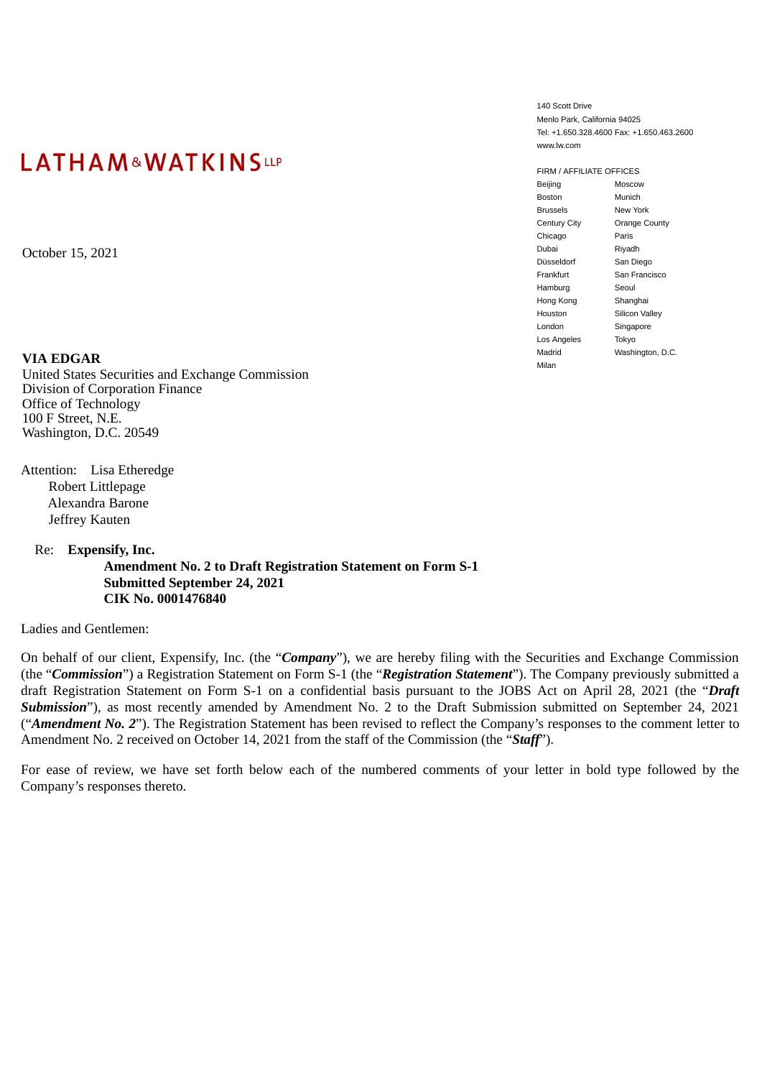# LATHAM&WATKINSLLP

**VIA EDGAR**

United States Securities and Exchange Commission Division of Corporation Finance Office of Technology 100 F Street, N.E. Washington, D.C. 20549

Attention: Lisa Etheredge Robert Littlepage Alexandra Barone Jeffrey Kauten

Re: **Expensify, Inc.**

**Amendment No. 2 to Draft Registration Statement on Form S-1 Submitted September 24, 2021 CIK No. 0001476840**

Ladies and Gentlemen:

On behalf of our client, Expensify, Inc. (the "*Company*"), we are hereby filing with the Securities and Exchange Commission (the "*Commission*") a Registration Statement on Form S-1 (the "*Registration Statement*"). The Company previously submitted a draft Registration Statement on Form S-1 on a confidential basis pursuant to the JOBS Act on April 28, 2021 (the "*Draft Submission*"), as most recently amended by Amendment No. 2 to the Draft Submission submitted on September 24, 2021 ("*Amendment No. 2*"). The Registration Statement has been revised to reflect the Company's responses to the comment letter to Amendment No. 2 received on October 14, 2021 from the staff of the Commission (the "*Staff*").

For ease of review, we have set forth below each of the numbered comments of your letter in bold type followed by the Company's responses thereto.

140 Scott Drive Menlo Park, California 94025 Tel: +1.650.328.4600 Fax: +1.650.463.2600 www.lw.com

FIRM / AFFILIATE OFFICES Beijing Moscow Boston Munich Brussels New York Century City Orange County Chicago Paris Pubai Riyadh Riyadh Riyadh Riyadh Riyadh Riyadh Riyadh Riyadh Riyadh Riyadh Riyadh Riyadh Riyadh Riyadh Riyadh Düsseldorf Frankfurt San Francisco Hamburg Seoul Hong Kong Shanghai Houston Silicon Valley London Singapore Los Angeles Tokyo Madrid Washington, D.C. Milan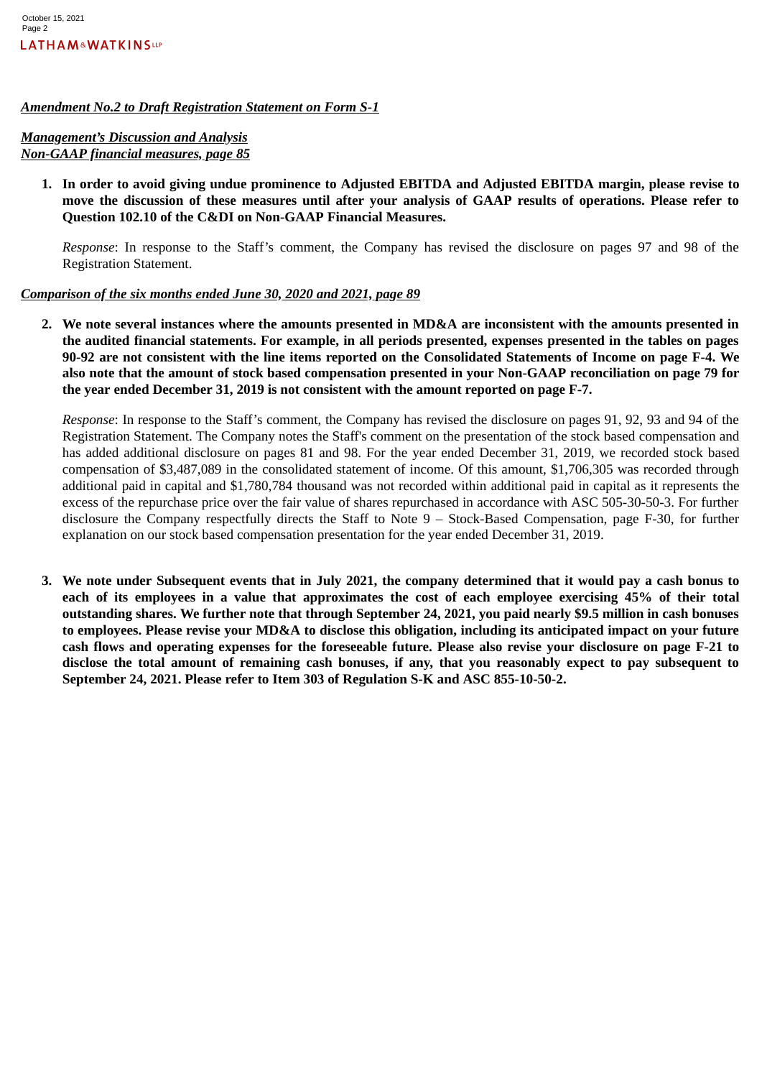#### *Amendment No.2 to Draft Registration Statement on Form S-1*

## *Management's Discussion and Analysis Non-GAAP financial measures, page 85*

**1. In order to avoid giving undue prominence to Adjusted EBITDA and Adjusted EBITDA margin, please revise to move the discussion of these measures until after your analysis of GAAP results of operations. Please refer to Question 102.10 of the C&DI on Non-GAAP Financial Measures.**

*Response*: In response to the Staff's comment, the Company has revised the disclosure on pages 97 and 98 of the Registration Statement.

## *Comparison of the six months ended June 30, 2020 and 2021, page 89*

**2. We note several instances where the amounts presented in MD&A are inconsistent with the amounts presented in the audited financial statements. For example, in all periods presented, expenses presented in the tables on pages 90-92 are not consistent with the line items reported on the Consolidated Statements of Income on page F-4. We also note that the amount of stock based compensation presented in your Non-GAAP reconciliation on page 79 for the year ended December 31, 2019 is not consistent with the amount reported on page F-7.**

*Response*: In response to the Staff's comment, the Company has revised the disclosure on pages 91, 92, 93 and 94 of the Registration Statement. The Company notes the Staff's comment on the presentation of the stock based compensation and has added additional disclosure on pages 81 and 98. For the year ended December 31, 2019, we recorded stock based compensation of \$3,487,089 in the consolidated statement of income. Of this amount, \$1,706,305 was recorded through additional paid in capital and \$1,780,784 thousand was not recorded within additional paid in capital as it represents the excess of the repurchase price over the fair value of shares repurchased in accordance with ASC 505-30-50-3. For further disclosure the Company respectfully directs the Staff to Note 9 – Stock-Based Compensation, page F-30, for further explanation on our stock based compensation presentation for the year ended December 31, 2019.

**3. We note under Subsequent events that in July 2021, the company determined that it would pay a cash bonus to each of its employees in a value that approximates the cost of each employee exercising 45% of their total outstanding shares. We further note that through September 24, 2021, you paid nearly \$9.5 million in cash bonuses to employees. Please revise your MD&A to disclose this obligation, including its anticipated impact on your future cash flows and operating expenses for the foreseeable future. Please also revise your disclosure on page F-21 to disclose the total amount of remaining cash bonuses, if any, that you reasonably expect to pay subsequent to September 24, 2021. Please refer to Item 303 of Regulation S-K and ASC 855-10-50-2.**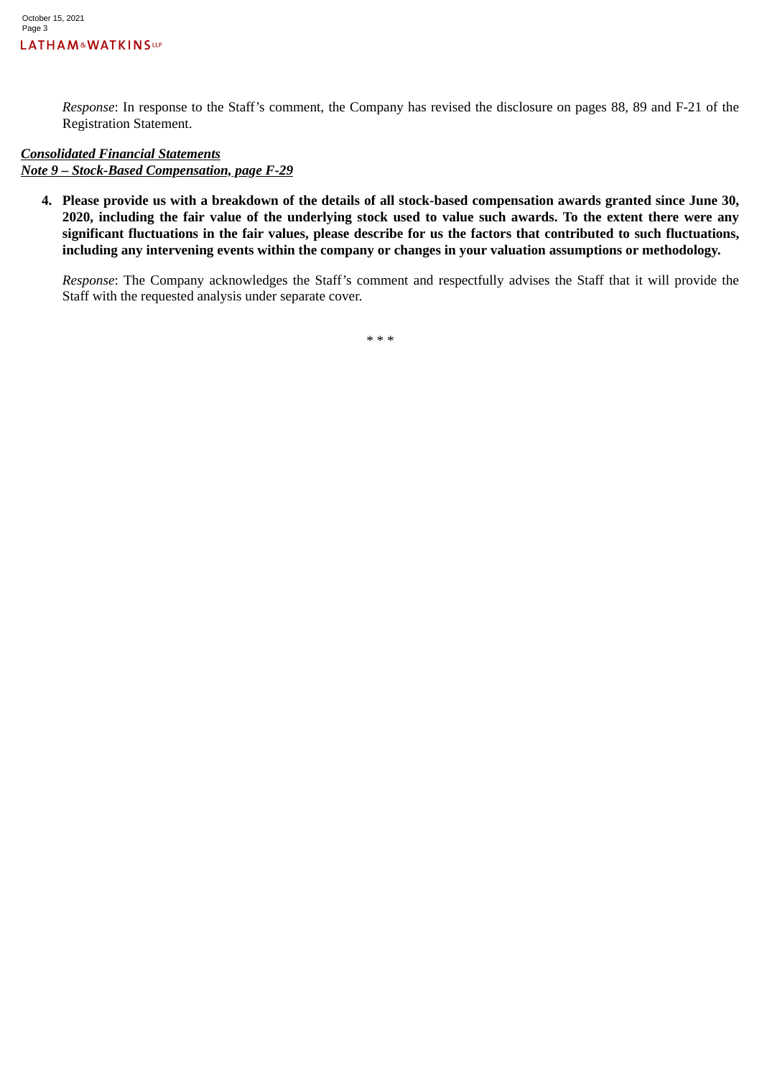*Response*: In response to the Staff's comment, the Company has revised the disclosure on pages 88, 89 and F-21 of the Registration Statement.

#### *Consolidated Financial Statements Note 9 – Stock-Based Compensation, page F-29*

**4. Please provide us with a breakdown of the details of all stock-based compensation awards granted since June 30, 2020, including the fair value of the underlying stock used to value such awards. To the extent there were any significant fluctuations in the fair values, please describe for us the factors that contributed to such fluctuations, including any intervening events within the company or changes in your valuation assumptions or methodology.**

*Response*: The Company acknowledges the Staff's comment and respectfully advises the Staff that it will provide the Staff with the requested analysis under separate cover.

\* \* \*